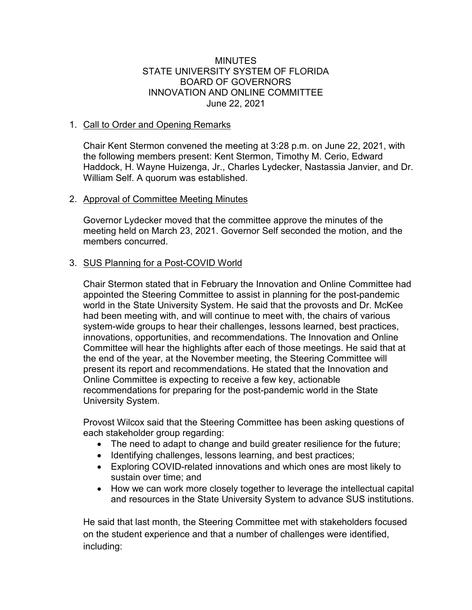#### MINUTES STATE UNIVERSITY SYSTEM OF FLORIDA BOARD OF GOVERNORS INNOVATION AND ONLINE COMMITTEE June 22, 2021

### 1. Call to Order and Opening Remarks

Chair Kent Stermon convened the meeting at 3:28 p.m. on June 22, 2021, with the following members present: Kent Stermon, Timothy M. Cerio, Edward Haddock, H. Wayne Huizenga, Jr., Charles Lydecker, Nastassia Janvier, and Dr. William Self. A quorum was established.

### 2. Approval of Committee Meeting Minutes

Governor Lydecker moved that the committee approve the minutes of the meeting held on March 23, 2021. Governor Self seconded the motion, and the members concurred.

## 3. SUS Planning for a Post-COVID World

Chair Stermon stated that in February the Innovation and Online Committee had appointed the Steering Committee to assist in planning for the post-pandemic world in the State University System. He said that the provosts and Dr. McKee had been meeting with, and will continue to meet with, the chairs of various system-wide groups to hear their challenges, lessons learned, best practices, innovations, opportunities, and recommendations. The Innovation and Online Committee will hear the highlights after each of those meetings. He said that at the end of the year, at the November meeting, the Steering Committee will present its report and recommendations. He stated that the Innovation and Online Committee is expecting to receive a few key, actionable recommendations for preparing for the post-pandemic world in the State University System.

Provost Wilcox said that the Steering Committee has been asking questions of each stakeholder group regarding:

- The need to adapt to change and build greater resilience for the future;
- Identifying challenges, lessons learning, and best practices;
- Exploring COVID-related innovations and which ones are most likely to sustain over time; and
- How we can work more closely together to leverage the intellectual capital and resources in the State University System to advance SUS institutions.

He said that last month, the Steering Committee met with stakeholders focused on the student experience and that a number of challenges were identified, including: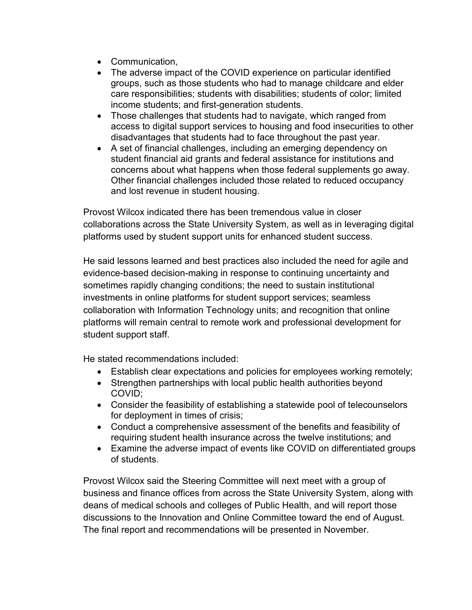- Communication,
- The adverse impact of the COVID experience on particular identified groups, such as those students who had to manage childcare and elder care responsibilities; students with disabilities; students of color; limited income students; and first-generation students.
- Those challenges that students had to navigate, which ranged from access to digital support services to housing and food insecurities to other disadvantages that students had to face throughout the past year.
- A set of financial challenges, including an emerging dependency on student financial aid grants and federal assistance for institutions and concerns about what happens when those federal supplements go away. Other financial challenges included those related to reduced occupancy and lost revenue in student housing.

Provost Wilcox indicated there has been tremendous value in closer collaborations across the State University System, as well as in leveraging digital platforms used by student support units for enhanced student success.

He said lessons learned and best practices also included the need for agile and evidence-based decision-making in response to continuing uncertainty and sometimes rapidly changing conditions; the need to sustain institutional investments in online platforms for student support services; seamless collaboration with Information Technology units; and recognition that online platforms will remain central to remote work and professional development for student support staff.

He stated recommendations included:

- Establish clear expectations and policies for employees working remotely;
- Strengthen partnerships with local public health authorities beyond COVID;
- Consider the feasibility of establishing a statewide pool of telecounselors for deployment in times of crisis;
- Conduct a comprehensive assessment of the benefits and feasibility of requiring student health insurance across the twelve institutions; and
- Examine the adverse impact of events like COVID on differentiated groups of students.

Provost Wilcox said the Steering Committee will next meet with a group of business and finance offices from across the State University System, along with deans of medical schools and colleges of Public Health, and will report those discussions to the Innovation and Online Committee toward the end of August. The final report and recommendations will be presented in November.